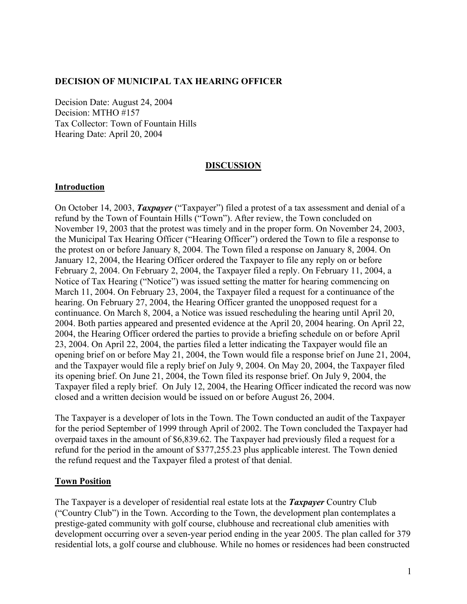### **DECISION OF MUNICIPAL TAX HEARING OFFICER**

Decision Date: August 24, 2004 Decision: MTHO #157 Tax Collector: Town of Fountain Hills Hearing Date: April 20, 2004

#### **DISCUSSION**

#### **Introduction**

On October 14, 2003, *Taxpayer* ("Taxpayer") filed a protest of a tax assessment and denial of a refund by the Town of Fountain Hills ("Town"). After review, the Town concluded on November 19, 2003 that the protest was timely and in the proper form. On November 24, 2003, the Municipal Tax Hearing Officer ("Hearing Officer") ordered the Town to file a response to the protest on or before January 8, 2004. The Town filed a response on January 8, 2004. On January 12, 2004, the Hearing Officer ordered the Taxpayer to file any reply on or before February 2, 2004. On February 2, 2004, the Taxpayer filed a reply. On February 11, 2004, a Notice of Tax Hearing ("Notice") was issued setting the matter for hearing commencing on March 11, 2004. On February 23, 2004, the Taxpayer filed a request for a continuance of the hearing. On February 27, 2004, the Hearing Officer granted the unopposed request for a continuance. On March 8, 2004, a Notice was issued rescheduling the hearing until April 20, 2004. Both parties appeared and presented evidence at the April 20, 2004 hearing. On April 22, 2004, the Hearing Officer ordered the parties to provide a briefing schedule on or before April 23, 2004. On April 22, 2004, the parties filed a letter indicating the Taxpayer would file an opening brief on or before May 21, 2004, the Town would file a response brief on June 21, 2004, and the Taxpayer would file a reply brief on July 9, 2004. On May 20, 2004, the Taxpayer filed its opening brief. On June 21, 2004, the Town filed its response brief. On July 9, 2004, the Taxpayer filed a reply brief. On July 12, 2004, the Hearing Officer indicated the record was now closed and a written decision would be issued on or before August 26, 2004.

The Taxpayer is a developer of lots in the Town. The Town conducted an audit of the Taxpayer for the period September of 1999 through April of 2002. The Town concluded the Taxpayer had overpaid taxes in the amount of \$6,839.62. The Taxpayer had previously filed a request for a refund for the period in the amount of \$377,255.23 plus applicable interest. The Town denied the refund request and the Taxpayer filed a protest of that denial.

#### **Town Position**

The Taxpayer is a developer of residential real estate lots at the *Taxpayer* Country Club ("Country Club") in the Town. According to the Town, the development plan contemplates a prestige-gated community with golf course, clubhouse and recreational club amenities with development occurring over a seven-year period ending in the year 2005. The plan called for 379 residential lots, a golf course and clubhouse. While no homes or residences had been constructed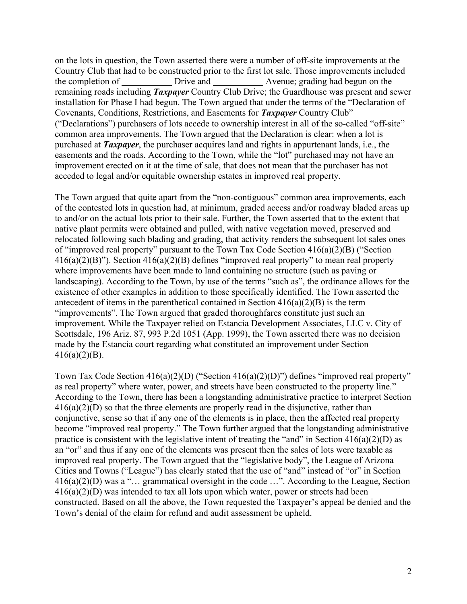on the lots in question, the Town asserted there were a number of off-site improvements at the Country Club that had to be constructed prior to the first lot sale. Those improvements included the completion of Drive and Avenue; grading had begun on the remaining roads including *Taxpayer* Country Club Drive; the Guardhouse was present and sewer installation for Phase I had begun. The Town argued that under the terms of the "Declaration of Covenants, Conditions, Restrictions, and Easements for *Taxpayer* Country Club" ("Declarations") purchasers of lots accede to ownership interest in all of the so-called "off-site" common area improvements. The Town argued that the Declaration is clear: when a lot is purchased at *Taxpayer*, the purchaser acquires land and rights in appurtenant lands, i.e., the easements and the roads. According to the Town, while the "lot" purchased may not have an improvement erected on it at the time of sale, that does not mean that the purchaser has not acceded to legal and/or equitable ownership estates in improved real property.

The Town argued that quite apart from the "non-contiguous" common area improvements, each of the contested lots in question had, at minimum, graded access and/or roadway bladed areas up to and/or on the actual lots prior to their sale. Further, the Town asserted that to the extent that native plant permits were obtained and pulled, with native vegetation moved, preserved and relocated following such blading and grading, that activity renders the subsequent lot sales ones of "improved real property" pursuant to the Town Tax Code Section 416(a)(2)(B) ("Section  $416(a)(2)(B)$ "). Section  $416(a)(2)(B)$  defines "improved real property" to mean real property where improvements have been made to land containing no structure (such as paving or landscaping). According to the Town, by use of the terms "such as", the ordinance allows for the existence of other examples in addition to those specifically identified. The Town asserted the antecedent of items in the parenthetical contained in Section  $416(a)(2)(B)$  is the term "improvements". The Town argued that graded thoroughfares constitute just such an improvement. While the Taxpayer relied on Estancia Development Associates, LLC v. City of Scottsdale, 196 Ariz. 87, 993 P.2d 1051 (App. 1999), the Town asserted there was no decision made by the Estancia court regarding what constituted an improvement under Section  $416(a)(2)(B)$ .

Town Tax Code Section 416(a)(2)(D) ("Section 416(a)(2)(D)") defines "improved real property" as real property" where water, power, and streets have been constructed to the property line." According to the Town, there has been a longstanding administrative practice to interpret Section  $416(a)(2)(D)$  so that the three elements are properly read in the disjunctive, rather than conjunctive, sense so that if any one of the elements is in place, then the affected real property become "improved real property." The Town further argued that the longstanding administrative practice is consistent with the legislative intent of treating the "and" in Section  $416(a)(2)(D)$  as an "or" and thus if any one of the elements was present then the sales of lots were taxable as improved real property. The Town argued that the "legislative body", the League of Arizona Cities and Towns ("League") has clearly stated that the use of "and" instead of "or" in Section 416(a)(2)(D) was a "… grammatical oversight in the code …". According to the League, Section  $416(a)(2)(D)$  was intended to tax all lots upon which water, power or streets had been constructed. Based on all the above, the Town requested the Taxpayer's appeal be denied and the Town's denial of the claim for refund and audit assessment be upheld.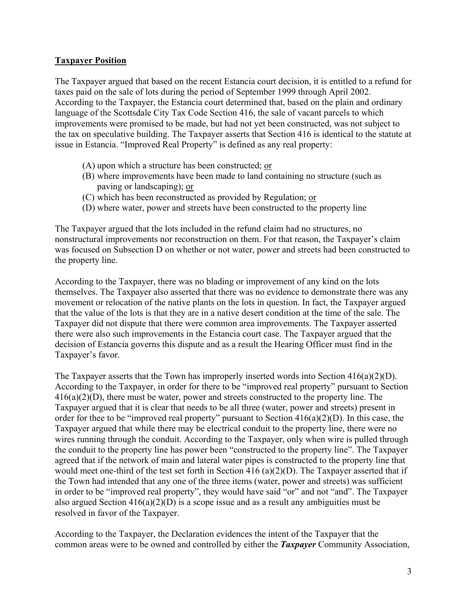# **Taxpayer Position**

The Taxpayer argued that based on the recent Estancia court decision, it is entitled to a refund for taxes paid on the sale of lots during the period of September 1999 through April 2002. According to the Taxpayer, the Estancia court determined that, based on the plain and ordinary language of the Scottsdale City Tax Code Section 416, the sale of vacant parcels to which improvements were promised to be made, but had not yet been constructed, was not subject to the tax on speculative building. The Taxpayer asserts that Section 416 is identical to the statute at issue in Estancia. "Improved Real Property" is defined as any real property:

- (A) upon which a structure has been constructed; or
- (B) where improvements have been made to land containing no structure (such as paving or landscaping); or
- (C) which has been reconstructed as provided by Regulation; or
- (D) where water, power and streets have been constructed to the property line

The Taxpayer argued that the lots included in the refund claim had no structures, no nonstructural improvements nor reconstruction on them. For that reason, the Taxpayer's claim was focused on Subsection D on whether or not water, power and streets had been constructed to the property line.

According to the Taxpayer, there was no blading or improvement of any kind on the lots themselves. The Taxpayer also asserted that there was no evidence to demonstrate there was any movement or relocation of the native plants on the lots in question. In fact, the Taxpayer argued that the value of the lots is that they are in a native desert condition at the time of the sale. The Taxpayer did not dispute that there were common area improvements. The Taxpayer asserted there were also such improvements in the Estancia court case. The Taxpayer argued that the decision of Estancia governs this dispute and as a result the Hearing Officer must find in the Taxpayer's favor.

The Taxpayer asserts that the Town has improperly inserted words into Section  $416(a)(2)(D)$ . According to the Taxpayer, in order for there to be "improved real property" pursuant to Section  $416(a)(2)(D)$ , there must be water, power and streets constructed to the property line. The Taxpayer argued that it is clear that needs to be all three (water, power and streets) present in order for thee to be "improved real property" pursuant to Section 416(a)(2)(D). In this case, the Taxpayer argued that while there may be electrical conduit to the property line, there were no wires running through the conduit. According to the Taxpayer, only when wire is pulled through the conduit to the property line has power been "constructed to the property line". The Taxpayer agreed that if the network of main and lateral water pipes is constructed to the property line that would meet one-third of the test set forth in Section 416 (a)(2)(D). The Taxpayer asserted that if the Town had intended that any one of the three items (water, power and streets) was sufficient in order to be "improved real property", they would have said "or" and not "and". The Taxpayer also argued Section  $416(a)(2)(D)$  is a scope issue and as a result any ambiguities must be resolved in favor of the Taxpayer.

According to the Taxpayer, the Declaration evidences the intent of the Taxpayer that the common areas were to be owned and controlled by either the *Taxpayer* Community Association,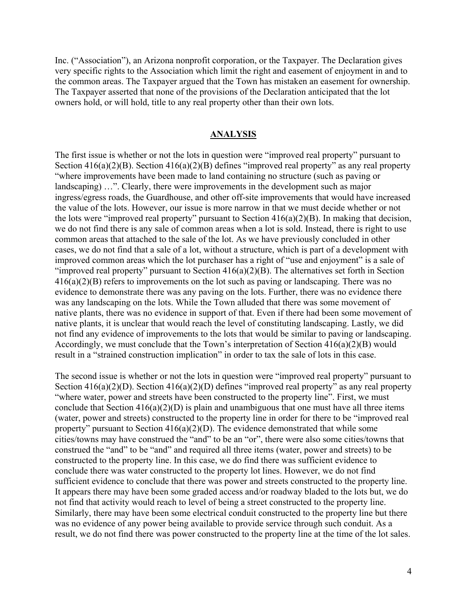Inc. ("Association"), an Arizona nonprofit corporation, or the Taxpayer. The Declaration gives very specific rights to the Association which limit the right and easement of enjoyment in and to the common areas. The Taxpayer argued that the Town has mistaken an easement for ownership. The Taxpayer asserted that none of the provisions of the Declaration anticipated that the lot owners hold, or will hold, title to any real property other than their own lots.

#### **ANALYSIS**

The first issue is whether or not the lots in question were "improved real property" pursuant to Section 416(a)(2)(B). Section 416(a)(2)(B) defines "improved real property" as any real property "where improvements have been made to land containing no structure (such as paving or landscaping) …". Clearly, there were improvements in the development such as major ingress/egress roads, the Guardhouse, and other off-site improvements that would have increased the value of the lots. However, our issue is more narrow in that we must decide whether or not the lots were "improved real property" pursuant to Section  $416(a)(2)(B)$ . In making that decision, we do not find there is any sale of common areas when a lot is sold. Instead, there is right to use common areas that attached to the sale of the lot. As we have previously concluded in other cases, we do not find that a sale of a lot, without a structure, which is part of a development with improved common areas which the lot purchaser has a right of "use and enjoyment" is a sale of "improved real property" pursuant to Section  $416(a)(2)(B)$ . The alternatives set forth in Section 416(a)(2)(B) refers to improvements on the lot such as paving or landscaping. There was no evidence to demonstrate there was any paving on the lots. Further, there was no evidence there was any landscaping on the lots. While the Town alluded that there was some movement of native plants, there was no evidence in support of that. Even if there had been some movement of native plants, it is unclear that would reach the level of constituting landscaping. Lastly, we did not find any evidence of improvements to the lots that would be similar to paving or landscaping. Accordingly, we must conclude that the Town's interpretation of Section 416(a)(2)(B) would result in a "strained construction implication" in order to tax the sale of lots in this case.

The second issue is whether or not the lots in question were "improved real property" pursuant to Section 416(a)(2)(D). Section 416(a)(2)(D) defines "improved real property" as any real property "where water, power and streets have been constructed to the property line". First, we must conclude that Section  $416(a)(2)(D)$  is plain and unambiguous that one must have all three items (water, power and streets) constructed to the property line in order for there to be "improved real property" pursuant to Section  $416(a)(2)(D)$ . The evidence demonstrated that while some cities/towns may have construed the "and" to be an "or", there were also some cities/towns that construed the "and" to be "and" and required all three items (water, power and streets) to be constructed to the property line. In this case, we do find there was sufficient evidence to conclude there was water constructed to the property lot lines. However, we do not find sufficient evidence to conclude that there was power and streets constructed to the property line. It appears there may have been some graded access and/or roadway bladed to the lots but, we do not find that activity would reach to level of being a street constructed to the property line. Similarly, there may have been some electrical conduit constructed to the property line but there was no evidence of any power being available to provide service through such conduit. As a result, we do not find there was power constructed to the property line at the time of the lot sales.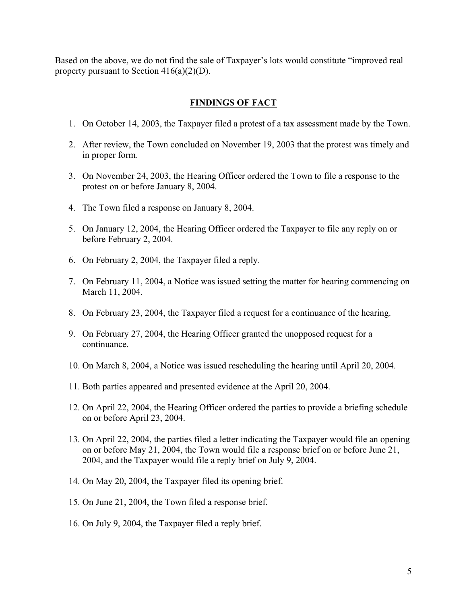Based on the above, we do not find the sale of Taxpayer's lots would constitute "improved real property pursuant to Section  $416(a)(2)(D)$ .

### **FINDINGS OF FACT**

- 1. On October 14, 2003, the Taxpayer filed a protest of a tax assessment made by the Town.
- 2. After review, the Town concluded on November 19, 2003 that the protest was timely and in proper form.
- 3. On November 24, 2003, the Hearing Officer ordered the Town to file a response to the protest on or before January 8, 2004.
- 4. The Town filed a response on January 8, 2004.
- 5. On January 12, 2004, the Hearing Officer ordered the Taxpayer to file any reply on or before February 2, 2004.
- 6. On February 2, 2004, the Taxpayer filed a reply.
- 7. On February 11, 2004, a Notice was issued setting the matter for hearing commencing on March 11, 2004.
- 8. On February 23, 2004, the Taxpayer filed a request for a continuance of the hearing.
- 9. On February 27, 2004, the Hearing Officer granted the unopposed request for a continuance.
- 10. On March 8, 2004, a Notice was issued rescheduling the hearing until April 20, 2004.
- 11. Both parties appeared and presented evidence at the April 20, 2004.
- 12. On April 22, 2004, the Hearing Officer ordered the parties to provide a briefing schedule on or before April 23, 2004.
- 13. On April 22, 2004, the parties filed a letter indicating the Taxpayer would file an opening on or before May 21, 2004, the Town would file a response brief on or before June 21, 2004, and the Taxpayer would file a reply brief on July 9, 2004.
- 14. On May 20, 2004, the Taxpayer filed its opening brief.
- 15. On June 21, 2004, the Town filed a response brief.
- 16. On July 9, 2004, the Taxpayer filed a reply brief.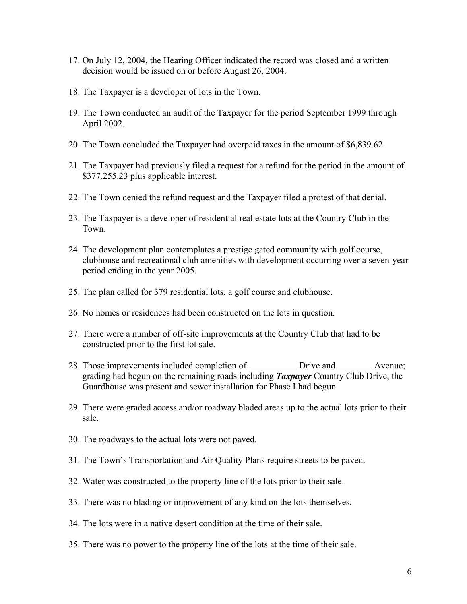- 17. On July 12, 2004, the Hearing Officer indicated the record was closed and a written decision would be issued on or before August 26, 2004.
- 18. The Taxpayer is a developer of lots in the Town.
- 19. The Town conducted an audit of the Taxpayer for the period September 1999 through April 2002.
- 20. The Town concluded the Taxpayer had overpaid taxes in the amount of \$6,839.62.
- 21. The Taxpayer had previously filed a request for a refund for the period in the amount of \$377,255.23 plus applicable interest.
- 22. The Town denied the refund request and the Taxpayer filed a protest of that denial.
- 23. The Taxpayer is a developer of residential real estate lots at the Country Club in the Town.
- 24. The development plan contemplates a prestige gated community with golf course, clubhouse and recreational club amenities with development occurring over a seven-year period ending in the year 2005.
- 25. The plan called for 379 residential lots, a golf course and clubhouse.
- 26. No homes or residences had been constructed on the lots in question.
- 27. There were a number of off-site improvements at the Country Club that had to be constructed prior to the first lot sale.
- 28. Those improvements included completion of Drive and Avenue; grading had begun on the remaining roads including *Taxpayer* Country Club Drive, the Guardhouse was present and sewer installation for Phase I had begun.
- 29. There were graded access and/or roadway bladed areas up to the actual lots prior to their sale.
- 30. The roadways to the actual lots were not paved.
- 31. The Town's Transportation and Air Quality Plans require streets to be paved.
- 32. Water was constructed to the property line of the lots prior to their sale.
- 33. There was no blading or improvement of any kind on the lots themselves.
- 34. The lots were in a native desert condition at the time of their sale.
- 35. There was no power to the property line of the lots at the time of their sale.